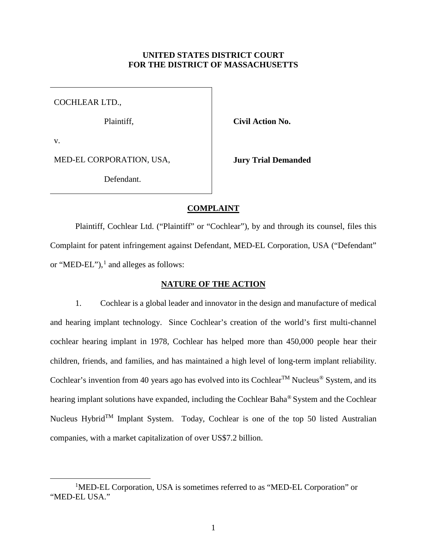# **UNITED STATES DISTRICT COURT FOR THE DISTRICT OF MASSACHUSETTS**

COCHLEAR LTD.,

Plaintiff, **Civil Action No.** 

v.

MED-EL CORPORATION, USA,

Defendant.

**Jury Trial Demanded**

## **COMPLAINT**

Plaintiff, Cochlear Ltd. ("Plaintiff" or "Cochlear"), by and through its counsel, files this Complaint for patent infringement against Defendant, MED-EL Corporation, USA ("Defendant" or "MED-EL"), $<sup>1</sup>$  $<sup>1</sup>$  $<sup>1</sup>$  and alleges as follows:</sup>

# **NATURE OF THE ACTION**

1. Cochlear is a global leader and innovator in the design and manufacture of medical and hearing implant technology. Since Cochlear's creation of the world's first multi-channel cochlear hearing implant in 1978, Cochlear has helped more than 450,000 people hear their children, friends, and families, and has maintained a high level of long-term implant reliability. Cochlear's invention from 40 years ago has evolved into its Cochlear<sup>TM</sup> Nucleus<sup>®</sup> System, and its hearing implant solutions have expanded, including the Cochlear Baha<sup>®</sup> System and the Cochlear Nucleus Hybrid<sup>TM</sup> Implant System. Today, Cochlear is one of the top 50 listed Australian companies, with a market capitalization of over US\$7.2 billion.

<span id="page-0-0"></span><sup>&</sup>lt;u>1</u> <sup>1</sup>MED-EL Corporation, USA is sometimes referred to as "MED-EL Corporation" or "MED-EL USA."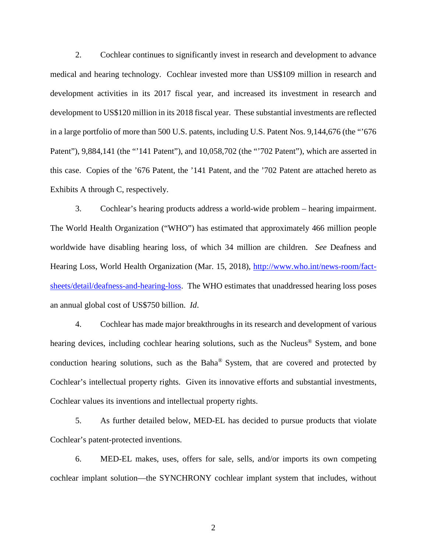2. Cochlear continues to significantly invest in research and development to advance medical and hearing technology. Cochlear invested more than US\$109 million in research and development activities in its 2017 fiscal year, and increased its investment in research and development to US\$120 million in its 2018 fiscal year. These substantial investments are reflected in a large portfolio of more than 500 U.S. patents, including U.S. Patent Nos. 9,144,676 (the "'676 Patent"), 9,884,141 (the "'141 Patent"), and 10,058,702 (the "'702 Patent"), which are asserted in this case. Copies of the '676 Patent, the '141 Patent, and the '702 Patent are attached hereto as Exhibits A through C, respectively.

3. Cochlear's hearing products address a world-wide problem – hearing impairment. The World Health Organization ("WHO") has estimated that approximately 466 million people worldwide have disabling hearing loss, of which 34 million are children. *See* Deafness and Hearing Loss, World Health Organization (Mar. 15, 2018), [http://www.who.int/news-room/fact](http://www.who.int/news-room/fact-sheets/detail/deafness-and-hearing-loss)[sheets/detail/deafness-and-hearing-loss.](http://www.who.int/news-room/fact-sheets/detail/deafness-and-hearing-loss) The WHO estimates that unaddressed hearing loss poses an annual global cost of US\$750 billion. *Id*.

4. Cochlear has made major breakthroughs in its research and development of various hearing devices, including cochlear hearing solutions, such as the Nucleus<sup>®</sup> System, and bone conduction hearing solutions, such as the Baha® System, that are covered and protected by Cochlear's intellectual property rights. Given its innovative efforts and substantial investments, Cochlear values its inventions and intellectual property rights.

5. As further detailed below, MED-EL has decided to pursue products that violate Cochlear's patent-protected inventions.

6. MED-EL makes, uses, offers for sale, sells, and/or imports its own competing cochlear implant solution—the SYNCHRONY cochlear implant system that includes, without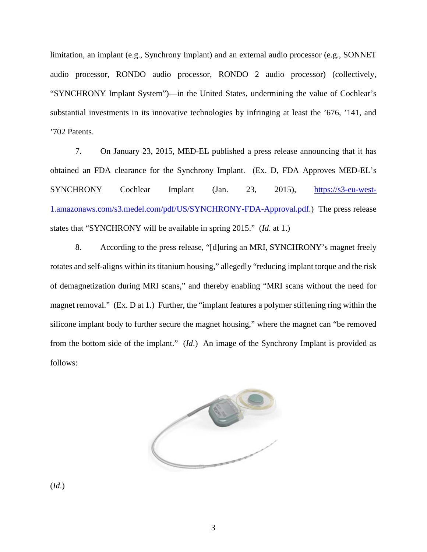limitation, an implant (e.g., Synchrony Implant) and an external audio processor (e.g., SONNET audio processor, RONDO audio processor, RONDO 2 audio processor) (collectively, "SYNCHRONY Implant System")—in the United States, undermining the value of Cochlear's substantial investments in its innovative technologies by infringing at least the '676, '141, and '702 Patents.

7. On January 23, 2015, MED-EL published a press release announcing that it has obtained an FDA clearance for the Synchrony Implant. (Ex. D, FDA Approves MED-EL's SYNCHRONY Cochlear Implant (Jan. 23, 2015), [https://s3-eu-west-](https://s3-eu-west-1.amazonaws.com/s3.medel.com/pdf/US/SYNCHRONY-FDA-Approval.pdf)[1.amazonaws.com/s3.medel.com/pdf/US/SYNCHRONY-FDA-Approval.pdf.](https://s3-eu-west-1.amazonaws.com/s3.medel.com/pdf/US/SYNCHRONY-FDA-Approval.pdf)) The press release states that "SYNCHRONY will be available in spring 2015." (*Id*. at 1.)

8. According to the press release, "[d]uring an MRI, SYNCHRONY's magnet freely rotates and self-aligns within its titanium housing," allegedly "reducing implant torque and the risk of demagnetization during MRI scans," and thereby enabling "MRI scans without the need for magnet removal." (Ex. D at 1.) Further, the "implant features a polymer stiffening ring within the silicone implant body to further secure the magnet housing," where the magnet can "be removed from the bottom side of the implant." (*Id*.) An image of the Synchrony Implant is provided as follows:



(*Id*.)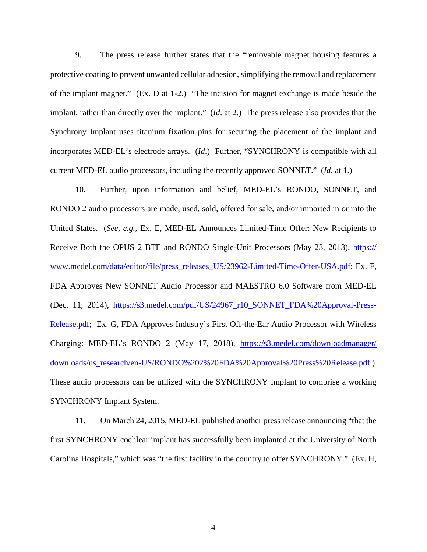9. The press release further states that the "removable magnet housing features a protective coating to prevent unwanted cellular adhesion, simplifying the removal and replacement of the implant magnet." (Ex. D at 1-2.) "The incision for magnet exchange is made beside the implant, rather than directly over the implant." (*Id*. at 2.) The press release also provides that the Synchrony Implant uses titanium fixation pins for securing the placement of the implant and incorporates MED-EL's electrode arrays. (*Id*.) Further, "SYNCHRONY is compatible with all current MED-EL audio processors, including the recently approved SONNET." (*Id*. at 1.)

10. Further, upon information and belief, MED-EL's RONDO, SONNET, and RONDO 2 audio processors are made, used, sold, offered for sale, and/or imported in or into the United States. (*See, e.g.*, Ex. E, MED-EL Announces Limited-Time Offer: New Recipients to Receive Both the OPUS 2 BTE and RONDO Single-Unit Processors (May 23, 2013), [https://](https://www.medel.com/data/editor/file/press_releases_US/23962-Limited-Time-Offer-USA.pdf) [www.medel.com/data/editor/file/press\\_releases\\_US/23962-Limited-Time-Offer-USA.pdf;](https://www.medel.com/data/editor/file/press_releases_US/23962-Limited-Time-Offer-USA.pdf) Ex. F, FDA Approves New SONNET Audio Processor and MAESTRO 6.0 Software from MED-EL (Dec. 11, 2014), [https://s3.medel.com/pdf/US/24967\\_r10\\_SONNET\\_FDA%20Approval-Press-](https://s3.medel.com/pdf/US/24967_r10_SONNET_FDA%20Approval-Press-Release.pdf)[Release.pdf;](https://s3.medel.com/pdf/US/24967_r10_SONNET_FDA%20Approval-Press-Release.pdf) Ex. G, FDA Approves Industry's First Off-the-Ear Audio Processor with Wireless Charging: MED-EL's RONDO 2 (May 17, 2018), [https://s3.medel.com/downloadmanager/](https://s3.medel.com/downloadmanager/downloads/us_research/en-US/RONDO%202%20FDA%20Approval%20Press%20Release.pdf) [downloads/us\\_research/en-US/RONDO%202%20FDA%20Approval%20Press%20Release.pdf.](https://s3.medel.com/downloadmanager/downloads/us_research/en-US/RONDO%202%20FDA%20Approval%20Press%20Release.pdf)) These audio processors can be utilized with the SYNCHRONY Implant to comprise a working SYNCHRONY Implant System.

11. On March 24, 2015, MED-EL published another press release announcing "that the first SYNCHRONY cochlear implant has successfully been implanted at the University of North Carolina Hospitals," which was "the first facility in the country to offer SYNCHRONY." (Ex. H,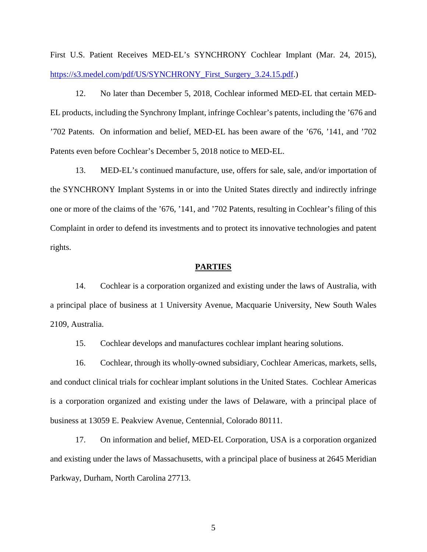First U.S. Patient Receives MED-EL's SYNCHRONY Cochlear Implant (Mar. 24, 2015), [https://s3.medel.com/pdf/US/SYNCHRONY\\_First\\_Surgery\\_3.24.15.pdf.](https://s3.medel.com/pdf/US/SYNCHRONY_First_Surgery_3.24.15.pdf))

12. No later than December 5, 2018, Cochlear informed MED-EL that certain MED-EL products, including the Synchrony Implant, infringe Cochlear's patents, including the '676 and '702 Patents. On information and belief, MED-EL has been aware of the '676, '141, and '702 Patents even before Cochlear's December 5, 2018 notice to MED-EL.

13. MED-EL's continued manufacture, use, offers for sale, sale, and/or importation of the SYNCHRONY Implant Systems in or into the United States directly and indirectly infringe one or more of the claims of the '676, '141, and '702 Patents, resulting in Cochlear's filing of this Complaint in order to defend its investments and to protect its innovative technologies and patent rights.

#### **PARTIES**

14. Cochlear is a corporation organized and existing under the laws of Australia, with a principal place of business at 1 University Avenue, Macquarie University, New South Wales 2109, Australia.

15. Cochlear develops and manufactures cochlear implant hearing solutions.

16. Cochlear, through its wholly-owned subsidiary, Cochlear Americas, markets, sells, and conduct clinical trials for cochlear implant solutions in the United States. Cochlear Americas is a corporation organized and existing under the laws of Delaware, with a principal place of business at 13059 E. Peakview Avenue, Centennial, Colorado 80111.

17. On information and belief, MED-EL Corporation, USA is a corporation organized and existing under the laws of Massachusetts, with a principal place of business at 2645 Meridian Parkway, Durham, North Carolina 27713.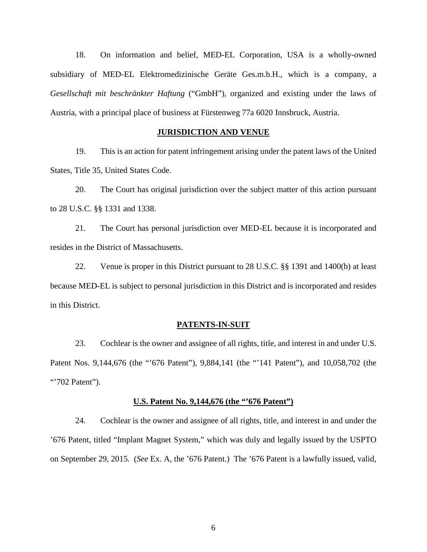18. On information and belief, MED-EL Corporation, USA is a wholly-owned subsidiary of MED-EL Elektromedizinische Geräte Ges.m.b.H., which is a company, a *Gesellschaft mit beschränkter Haftung* ("GmbH"), organized and existing under the laws of Austria, with a principal place of business at Fürstenweg 77a 6020 Innsbruck, Austria.

## **JURISDICTION AND VENUE**

19. This is an action for patent infringement arising under the patent laws of the United States, Title 35, United States Code.

20. The Court has original jurisdiction over the subject matter of this action pursuant to 28 U.S.C. §§ 1331 and 1338.

21. The Court has personal jurisdiction over MED-EL because it is incorporated and resides in the District of Massachusetts.

22. Venue is proper in this District pursuant to 28 U.S.C. §§ 1391 and 1400(b) at least because MED-EL is subject to personal jurisdiction in this District and is incorporated and resides in this District.

#### **PATENTS-IN-SUIT**

23. Cochlear is the owner and assignee of all rights, title, and interest in and under U.S. Patent Nos. 9,144,676 (the "'676 Patent"), 9,884,141 (the "'141 Patent"), and 10,058,702 (the "702 Patent").

#### **U.S. Patent No. 9,144,676 (the "'676 Patent")**

24. Cochlear is the owner and assignee of all rights, title, and interest in and under the '676 Patent, titled "Implant Magnet System," which was duly and legally issued by the USPTO on September 29, 2015. (*See* Ex. A, the '676 Patent.) The '676 Patent is a lawfully issued, valid,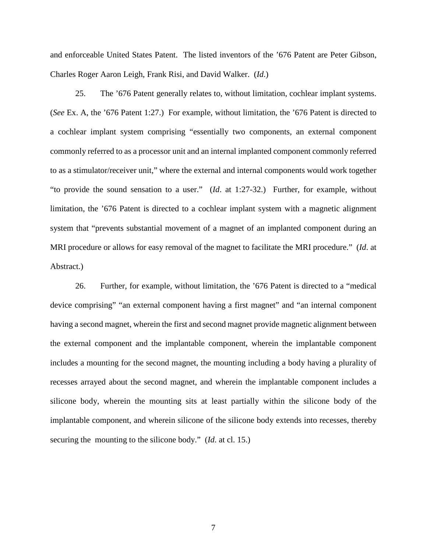and enforceable United States Patent. The listed inventors of the '676 Patent are Peter Gibson, Charles Roger Aaron Leigh, Frank Risi, and David Walker. (*Id*.)

25. The '676 Patent generally relates to, without limitation, cochlear implant systems. (*See* Ex. A, the '676 Patent 1:27.) For example, without limitation, the '676 Patent is directed to a cochlear implant system comprising "essentially two components, an external component commonly referred to as a processor unit and an internal implanted component commonly referred to as a stimulator/receiver unit," where the external and internal components would work together "to provide the sound sensation to a user." (*Id*. at 1:27-32.) Further, for example, without limitation, the '676 Patent is directed to a cochlear implant system with a magnetic alignment system that "prevents substantial movement of a magnet of an implanted component during an MRI procedure or allows for easy removal of the magnet to facilitate the MRI procedure." (*Id*. at Abstract.)

26. Further, for example, without limitation, the '676 Patent is directed to a "medical device comprising" "an external component having a first magnet" and "an internal component having a second magnet, wherein the first and second magnet provide magnetic alignment between the external component and the implantable component, wherein the implantable component includes a mounting for the second magnet, the mounting including a body having a plurality of recesses arrayed about the second magnet, and wherein the implantable component includes a silicone body, wherein the mounting sits at least partially within the silicone body of the implantable component, and wherein silicone of the silicone body extends into recesses, thereby securing the mounting to the silicone body." (*Id*. at cl. 15.)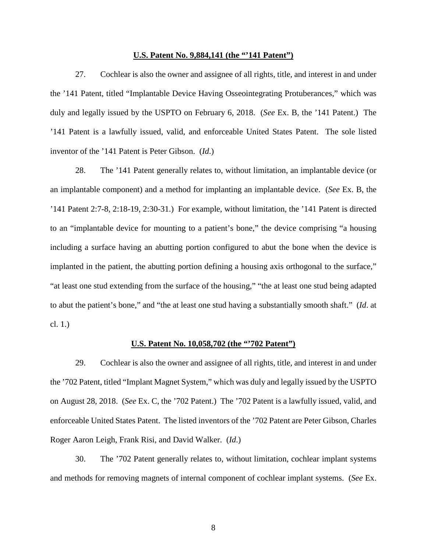### **U.S. Patent No. 9,884,141 (the "'141 Patent")**

27. Cochlear is also the owner and assignee of all rights, title, and interest in and under the '141 Patent, titled "Implantable Device Having Osseointegrating Protuberances," which was duly and legally issued by the USPTO on February 6, 2018. (*See* Ex. B, the '141 Patent.) The '141 Patent is a lawfully issued, valid, and enforceable United States Patent. The sole listed inventor of the '141 Patent is Peter Gibson. (*Id*.)

28. The '141 Patent generally relates to, without limitation, an implantable device (or an implantable component) and a method for implanting an implantable device. (*See* Ex. B, the '141 Patent 2:7-8, 2:18-19, 2:30-31.) For example, without limitation, the '141 Patent is directed to an "implantable device for mounting to a patient's bone," the device comprising "a housing including a surface having an abutting portion configured to abut the bone when the device is implanted in the patient, the abutting portion defining a housing axis orthogonal to the surface," "at least one stud extending from the surface of the housing," "the at least one stud being adapted to abut the patient's bone," and "the at least one stud having a substantially smooth shaft." (*Id*. at cl. 1.)

### **U.S. Patent No. 10,058,702 (the "'702 Patent")**

29. Cochlear is also the owner and assignee of all rights, title, and interest in and under the '702 Patent, titled "Implant Magnet System," which was duly and legally issued by the USPTO on August 28, 2018. (*See* Ex. C, the '702 Patent.) The '702 Patent is a lawfully issued, valid, and enforceable United States Patent. The listed inventors of the '702 Patent are Peter Gibson, Charles Roger Aaron Leigh, Frank Risi, and David Walker. (*Id*.)

<span id="page-7-0"></span>30. The '702 Patent generally relates to, without limitation, cochlear implant systems and methods for removing magnets of internal component of cochlear implant systems. (*See* Ex.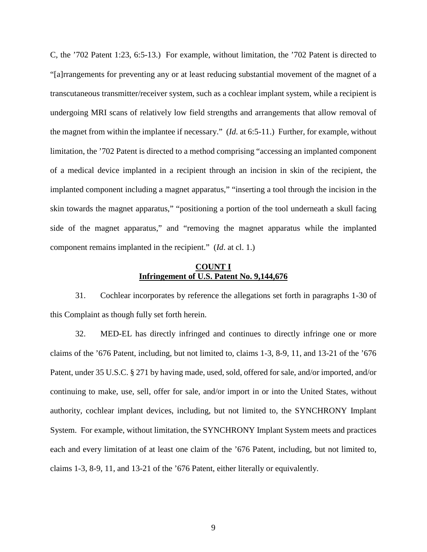C, the '702 Patent 1:23, 6:5-13.) For example, without limitation, the '702 Patent is directed to "[a]rrangements for preventing any or at least reducing substantial movement of the magnet of a transcutaneous transmitter/receiver system, such as a cochlear implant system, while a recipient is undergoing MRI scans of relatively low field strengths and arrangements that allow removal of the magnet from within the implantee if necessary." (*Id*. at 6:5-11.) Further, for example, without limitation, the '702 Patent is directed to a method comprising "accessing an implanted component of a medical device implanted in a recipient through an incision in skin of the recipient, the implanted component including a magnet apparatus," "inserting a tool through the incision in the skin towards the magnet apparatus," "positioning a portion of the tool underneath a skull facing side of the magnet apparatus," and "removing the magnet apparatus while the implanted component remains implanted in the recipient." (*Id*. at cl. 1.)

### **COUNT I Infringement of U.S. Patent No. 9,144,676**

31. Cochlear incorporates by reference the allegations set forth in paragraphs 1[-30](#page-7-0) of this Complaint as though fully set forth herein.

32. MED-EL has directly infringed and continues to directly infringe one or more claims of the '676 Patent, including, but not limited to, claims 1-3, 8-9, 11, and 13-21 of the '676 Patent, under 35 U.S.C. § 271 by having made, used, sold, offered for sale, and/or imported, and/or continuing to make, use, sell, offer for sale, and/or import in or into the United States, without authority, cochlear implant devices, including, but not limited to, the SYNCHRONY Implant System. For example, without limitation, the SYNCHRONY Implant System meets and practices each and every limitation of at least one claim of the '676 Patent, including, but not limited to, claims 1-3, 8-9, 11, and 13-21 of the '676 Patent, either literally or equivalently.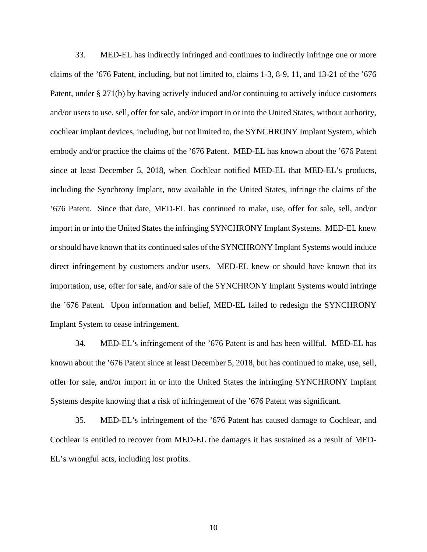33. MED-EL has indirectly infringed and continues to indirectly infringe one or more claims of the '676 Patent, including, but not limited to, claims 1-3, 8-9, 11, and 13-21 of the '676 Patent, under § 271(b) by having actively induced and/or continuing to actively induce customers and/or users to use, sell, offer for sale, and/or import in or into the United States, without authority, cochlear implant devices, including, but not limited to, the SYNCHRONY Implant System, which embody and/or practice the claims of the '676 Patent. MED-EL has known about the '676 Patent since at least December 5, 2018, when Cochlear notified MED-EL that MED-EL's products, including the Synchrony Implant, now available in the United States, infringe the claims of the '676 Patent. Since that date, MED-EL has continued to make, use, offer for sale, sell, and/or import in or into the United States the infringing SYNCHRONY Implant Systems. MED-EL knew or should have known that its continued sales of the SYNCHRONY Implant Systems would induce direct infringement by customers and/or users. MED-EL knew or should have known that its importation, use, offer for sale, and/or sale of the SYNCHRONY Implant Systems would infringe the '676 Patent. Upon information and belief, MED-EL failed to redesign the SYNCHRONY Implant System to cease infringement.

34. MED-EL's infringement of the '676 Patent is and has been willful. MED-EL has known about the '676 Patent since at least December 5, 2018, but has continued to make, use, sell, offer for sale, and/or import in or into the United States the infringing SYNCHRONY Implant Systems despite knowing that a risk of infringement of the '676 Patent was significant.

35. MED-EL's infringement of the '676 Patent has caused damage to Cochlear, and Cochlear is entitled to recover from MED-EL the damages it has sustained as a result of MED-EL's wrongful acts, including lost profits.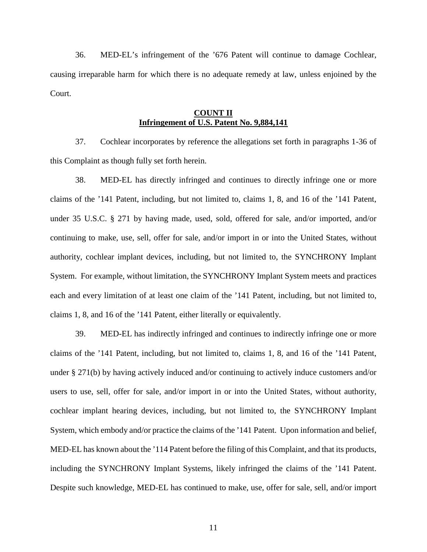<span id="page-10-0"></span>36. MED-EL's infringement of the '676 Patent will continue to damage Cochlear, causing irreparable harm for which there is no adequate remedy at law, unless enjoined by the Court.

# **COUNT II Infringement of U.S. Patent No. 9,884,141**

37. Cochlear incorporates by reference the allegations set forth in paragraphs 1[-36](#page-10-0) of this Complaint as though fully set forth herein.

38. MED-EL has directly infringed and continues to directly infringe one or more claims of the '141 Patent, including, but not limited to, claims 1, 8, and 16 of the '141 Patent, under 35 U.S.C. § 271 by having made, used, sold, offered for sale, and/or imported, and/or continuing to make, use, sell, offer for sale, and/or import in or into the United States, without authority, cochlear implant devices, including, but not limited to, the SYNCHRONY Implant System. For example, without limitation, the SYNCHRONY Implant System meets and practices each and every limitation of at least one claim of the '141 Patent, including, but not limited to, claims 1, 8, and 16 of the '141 Patent, either literally or equivalently.

39. MED-EL has indirectly infringed and continues to indirectly infringe one or more claims of the '141 Patent, including, but not limited to, claims 1, 8, and 16 of the '141 Patent, under § 271(b) by having actively induced and/or continuing to actively induce customers and/or users to use, sell, offer for sale, and/or import in or into the United States, without authority, cochlear implant hearing devices, including, but not limited to, the SYNCHRONY Implant System, which embody and/or practice the claims of the '141 Patent. Upon information and belief, MED-EL has known about the '114 Patent before the filing of this Complaint, and that its products, including the SYNCHRONY Implant Systems, likely infringed the claims of the '141 Patent. Despite such knowledge, MED-EL has continued to make, use, offer for sale, sell, and/or import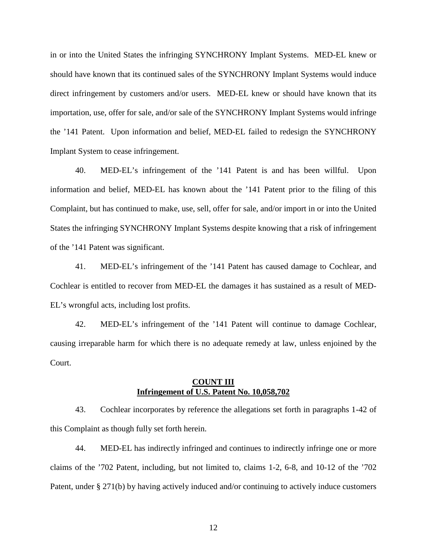in or into the United States the infringing SYNCHRONY Implant Systems. MED-EL knew or should have known that its continued sales of the SYNCHRONY Implant Systems would induce direct infringement by customers and/or users. MED-EL knew or should have known that its importation, use, offer for sale, and/or sale of the SYNCHRONY Implant Systems would infringe the '141 Patent. Upon information and belief, MED-EL failed to redesign the SYNCHRONY Implant System to cease infringement.

40. MED-EL's infringement of the '141 Patent is and has been willful. Upon information and belief, MED-EL has known about the '141 Patent prior to the filing of this Complaint, but has continued to make, use, sell, offer for sale, and/or import in or into the United States the infringing SYNCHRONY Implant Systems despite knowing that a risk of infringement of the '141 Patent was significant.

41. MED-EL's infringement of the '141 Patent has caused damage to Cochlear, and Cochlear is entitled to recover from MED-EL the damages it has sustained as a result of MED-EL's wrongful acts, including lost profits.

<span id="page-11-0"></span>42. MED-EL's infringement of the '141 Patent will continue to damage Cochlear, causing irreparable harm for which there is no adequate remedy at law, unless enjoined by the Court.

# **COUNT III Infringement of U.S. Patent No. 10,058,702**

43. Cochlear incorporates by reference the allegations set forth in paragraphs 1[-42](#page-11-0) of this Complaint as though fully set forth herein.

44. MED-EL has indirectly infringed and continues to indirectly infringe one or more claims of the '702 Patent, including, but not limited to, claims 1-2, 6-8, and 10-12 of the '702 Patent, under § 271(b) by having actively induced and/or continuing to actively induce customers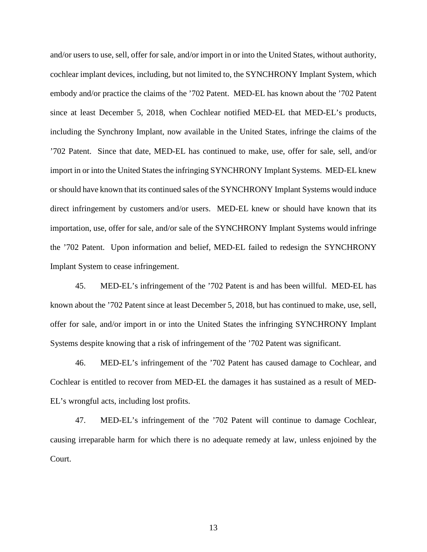and/or users to use, sell, offer for sale, and/or import in or into the United States, without authority, cochlear implant devices, including, but not limited to, the SYNCHRONY Implant System, which embody and/or practice the claims of the '702 Patent. MED-EL has known about the '702 Patent since at least December 5, 2018, when Cochlear notified MED-EL that MED-EL's products, including the Synchrony Implant, now available in the United States, infringe the claims of the '702 Patent. Since that date, MED-EL has continued to make, use, offer for sale, sell, and/or import in or into the United States the infringing SYNCHRONY Implant Systems. MED-EL knew or should have known that its continued sales of the SYNCHRONY Implant Systems would induce direct infringement by customers and/or users. MED-EL knew or should have known that its importation, use, offer for sale, and/or sale of the SYNCHRONY Implant Systems would infringe the '702 Patent. Upon information and belief, MED-EL failed to redesign the SYNCHRONY Implant System to cease infringement.

45. MED-EL's infringement of the '702 Patent is and has been willful. MED-EL has known about the '702 Patent since at least December 5, 2018, but has continued to make, use, sell, offer for sale, and/or import in or into the United States the infringing SYNCHRONY Implant Systems despite knowing that a risk of infringement of the '702 Patent was significant.

46. MED-EL's infringement of the '702 Patent has caused damage to Cochlear, and Cochlear is entitled to recover from MED-EL the damages it has sustained as a result of MED-EL's wrongful acts, including lost profits.

47. MED-EL's infringement of the '702 Patent will continue to damage Cochlear, causing irreparable harm for which there is no adequate remedy at law, unless enjoined by the Court.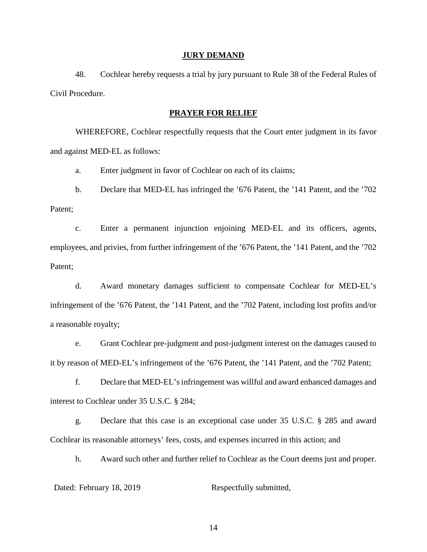### **JURY DEMAND**

48. Cochlear hereby requests a trial by jury pursuant to Rule 38 of the Federal Rules of Civil Procedure.

### **PRAYER FOR RELIEF**

WHEREFORE, Cochlear respectfully requests that the Court enter judgment in its favor and against MED-EL as follows:

a. Enter judgment in favor of Cochlear on each of its claims;

b. Declare that MED-EL has infringed the '676 Patent, the '141 Patent, and the '702 Patent;

c. Enter a permanent injunction enjoining MED-EL and its officers, agents, employees, and privies, from further infringement of the '676 Patent, the '141 Patent, and the '702 Patent;

d. Award monetary damages sufficient to compensate Cochlear for MED-EL's infringement of the '676 Patent, the '141 Patent, and the '702 Patent, including lost profits and/or a reasonable royalty;

e. Grant Cochlear pre-judgment and post-judgment interest on the damages caused to it by reason of MED-EL's infringement of the '676 Patent, the '141 Patent, and the '702 Patent;

f. Declare that MED-EL'sinfringement was willful and award enhanced damages and interest to Cochlear under 35 U.S.C. § 284;

g. Declare that this case is an exceptional case under 35 U.S.C. § 285 and award Cochlear its reasonable attorneys' fees, costs, and expenses incurred in this action; and

h. Award such other and further relief to Cochlear as the Court deems just and proper.

Dated: February 18, 2019 Respectfully submitted,